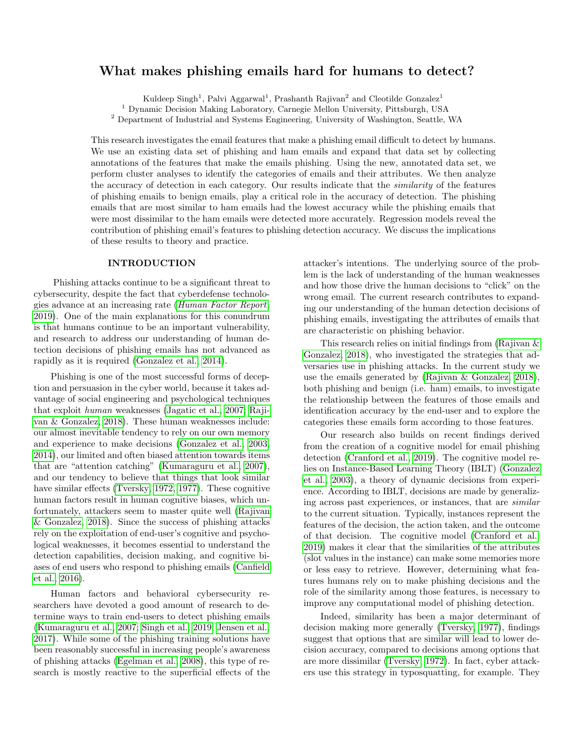# What makes phishing emails hard for humans to detect?

Kuldeep Singh<sup>1</sup>, Palvi Aggarwal<sup>1</sup>, Prashanth Rajivan<sup>2</sup> and Cleotilde Gonzalez<sup>1</sup>

<sup>1</sup> Dynamic Decision Making Laboratory, Carnegie Mellon University, Pittsburgh, USA

<sup>2</sup> Department of Industrial and Systems Engineering, University of Washington, Seattle, WA

This research investigates the email features that make a phishing email difficult to detect by humans. We use an existing data set of phishing and ham emails and expand that data set by collecting annotations of the features that make the emails phishing. Using the new, annotated data set, we perform cluster analyses to identify the categories of emails and their attributes. We then analyze the accuracy of detection in each category. Our results indicate that the similarity of the features of phishing emails to benign emails, play a critical role in the accuracy of detection. The phishing emails that are most similar to ham emails had the lowest accuracy while the phishing emails that were most dissimilar to the ham emails were detected more accurately. Regression models reveal the contribution of phishing email's features to phishing detection accuracy. We discuss the implications of these results to theory and practice.

# INTRODUCTION

Phishing attacks continue to be a significant threat to cybersecurity, despite the fact that cyberdefense technologies advance at an increasing rate ([Human Factor Report](#page-4-0), [2019\)](#page-4-0). One of the main explanations for this conundrum is that humans continue to be an important vulnerability, and research to address our understanding of human detection decisions of phishing emails has not advanced as rapidly as it is required [\(Gonzalez et al., 2014\)](#page-4-1).

Phishing is one of the most successful forms of deception and persuasion in the cyber world, because it takes advantage of social engineering and psychological techniques that exploit human weaknesses [\(Jagatic et al., 2007;](#page-4-2) [Raji](#page-4-3)[van & Gonzalez, 2018\)](#page-4-3). These human weaknesses include: our almost inevitable tendency to rely on our own memory and experience to make decisions [\(Gonzalez et al., 2003,](#page-4-4) [2014\)](#page-4-1), our limited and often biased attention towards items that are "attention catching" [\(Kumaraguru et al., 2007\)](#page-4-5), and our tendency to believe that things that look similar have similar effects [\(Tversky, 1972,](#page-4-6) [1977\)](#page-4-7). These cognitive human factors result in human cognitive biases, which unfortunately, attackers seem to master quite well [\(Rajivan](#page-4-3) [& Gonzalez, 2018\)](#page-4-3). Since the success of phishing attacks rely on the exploitation of end-user's cognitive and psychological weaknesses, it becomes essential to understand the detection capabilities, decision making, and cognitive biases of end users who respond to phishing emails [\(Canfield](#page-4-8) [et al., 2016\)](#page-4-8).

Human factors and behavioral cybersecurity researchers have devoted a good amount of research to determine ways to train end-users to detect phishing emails [\(Kumaraguru et al., 2007;](#page-4-5) [Singh et al., 2019;](#page-4-9) [Jensen et al.,](#page-4-10) [2017\)](#page-4-10). While some of the phishing training solutions have been reasonably successful in increasing people's awareness of phishing attacks [\(Egelman et al., 2008\)](#page-4-11), this type of research is mostly reactive to the superficial effects of the

attacker's intentions. The underlying source of the problem is the lack of understanding of the human weaknesses and how those drive the human decisions to "click" on the wrong email. The current research contributes to expanding our understanding of the human detection decisions of phishing emails, investigating the attributes of emails that are characteristic on phishing behavior.

This research relies on initial findings from [\(Rajivan &](#page-4-3) [Gonzalez, 2018\)](#page-4-3), who investigated the strategies that adversaries use in phishing attacks. In the current study we use the emails generated by [\(Rajivan & Gonzalez, 2018\)](#page-4-3), both phishing and benign (i.e. ham) emails, to investigate the relationship between the features of those emails and identification accuracy by the end-user and to explore the categories these emails form according to those features.

Our research also builds on recent findings derived from the creation of a cognitive model for email phishing detection [\(Cranford et al., 2019\)](#page-4-12). The cognitive model relies on Instance-Based Learning Theory (IBLT) [\(Gonzalez](#page-4-4) [et al., 2003\)](#page-4-4), a theory of dynamic decisions from experience. According to IBLT, decisions are made by generalizing across past experiences, or instances, that are similar to the current situation. Typically, instances represent the features of the decision, the action taken, and the outcome of that decision. The cognitive model [\(Cranford et al.,](#page-4-12) [2019\)](#page-4-12) makes it clear that the similarities of the attributes (slot values in the instance) can make some memories more or less easy to retrieve. However, determining what features humans rely on to make phishing decisions and the role of the similarity among those features, is necessary to improve any computational model of phishing detection.

Indeed, similarity has been a major determinant of decision making more generally [\(Tversky, 1977\)](#page-4-7), findings suggest that options that are similar will lead to lower decision accuracy, compared to decisions among options that are more dissimilar [\(Tversky, 1972\)](#page-4-6). In fact, cyber attackers use this strategy in typosquatting, for example. They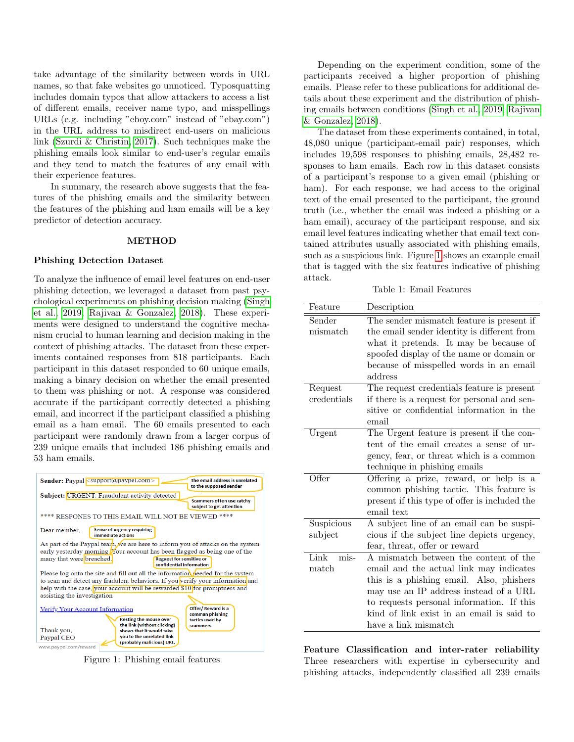take advantage of the similarity between words in URL names, so that fake websites go unnoticed. Typosquatting includes domain typos that allow attackers to access a list of different emails, receiver name typo, and misspellings URLs (e.g. including "eboy.com" instead of "ebay.com") in the URL address to misdirect end-users on malicious link [\(Szurdi & Christin, 2017\)](#page-4-13). Such techniques make the phishing emails look similar to end-user's regular emails and they tend to match the features of any email with their experience features.

In summary, the research above suggests that the features of the phishing emails and the similarity between the features of the phishing and ham emails will be a key predictor of detection accuracy.

#### METHOD

## Phishing Detection Dataset

To analyze the influence of email level features on end-user phishing detection, we leveraged a dataset from past psychological experiments on phishing decision making [\(Singh](#page-4-9) [et al., 2019;](#page-4-9) [Rajivan & Gonzalez, 2018\)](#page-4-3). These experiments were designed to understand the cognitive mechanism crucial to human learning and decision making in the context of phishing attacks. The dataset from these experiments contained responses from 818 participants. Each participant in this dataset responded to 60 unique emails, making a binary decision on whether the email presented to them was phishing or not. A response was considered accurate if the participant correctly detected a phishing email, and incorrect if the participant classified a phishing email as a ham email. The 60 emails presented to each participant were randomly drawn from a larger corpus of 239 unique emails that included 186 phishing emails and 53 ham emails.

<span id="page-1-0"></span>

Figure 1: Phishing email features

Depending on the experiment condition, some of the participants received a higher proportion of phishing emails. Please refer to these publications for additional details about these experiment and the distribution of phishing emails between conditions [\(Singh et al., 2019;](#page-4-9) [Rajivan](#page-4-3) [& Gonzalez, 2018\)](#page-4-3).

The dataset from these experiments contained, in total, 48,080 unique (participant-email pair) responses, which includes 19,598 responses to phishing emails, 28,482 responses to ham emails. Each row in this dataset consists of a participant's response to a given email (phishing or ham). For each response, we had access to the original text of the email presented to the participant, the ground truth (i.e., whether the email was indeed a phishing or a ham email), accuracy of the participant response, and six email level features indicating whether that email text contained attributes usually associated with phishing emails, such as a suspicious link. Figure [1](#page-1-0) shows an example email that is tagged with the six features indicative of phishing attack.

Table 1: Email Features

<span id="page-1-1"></span>

| Feature              | Description                                   |  |  |  |  |  |  |  |
|----------------------|-----------------------------------------------|--|--|--|--|--|--|--|
| Sender               | The sender mismatch feature is present if     |  |  |  |  |  |  |  |
| mismatch             | the email sender identity is different from   |  |  |  |  |  |  |  |
|                      | what it pretends. It may be because of        |  |  |  |  |  |  |  |
|                      | spoofed display of the name or domain or      |  |  |  |  |  |  |  |
|                      | because of misspelled words in an email       |  |  |  |  |  |  |  |
|                      | address                                       |  |  |  |  |  |  |  |
| Request              | The request credentials feature is present    |  |  |  |  |  |  |  |
| credentials          | if there is a request for personal and sen-   |  |  |  |  |  |  |  |
|                      | sitive or confidential information in the     |  |  |  |  |  |  |  |
|                      | email                                         |  |  |  |  |  |  |  |
| Urgent               | The Urgent feature is present if the con-     |  |  |  |  |  |  |  |
|                      | tent of the email creates a sense of ur-      |  |  |  |  |  |  |  |
|                      | gency, fear, or threat which is a common      |  |  |  |  |  |  |  |
|                      | technique in phishing emails                  |  |  |  |  |  |  |  |
| Offer                | Offering a prize, reward, or help is a        |  |  |  |  |  |  |  |
|                      | common phishing tactic. This feature is       |  |  |  |  |  |  |  |
|                      | present if this type of offer is included the |  |  |  |  |  |  |  |
|                      | email text                                    |  |  |  |  |  |  |  |
| Suspicious           | A subject line of an email can be suspi-      |  |  |  |  |  |  |  |
| subject              | cious if the subject line depicts urgency,    |  |  |  |  |  |  |  |
|                      | fear, threat, offer or reward                 |  |  |  |  |  |  |  |
| Link<br>mis-         | A mismatch between the content of the         |  |  |  |  |  |  |  |
| $\mathop{\rm match}$ | email and the actual link may indicates       |  |  |  |  |  |  |  |
|                      | this is a phishing email. Also, phishers      |  |  |  |  |  |  |  |
|                      | may use an IP address instead of a URL        |  |  |  |  |  |  |  |
|                      | to requests personal information. If this     |  |  |  |  |  |  |  |
|                      | kind of link exist in an email is said to     |  |  |  |  |  |  |  |
|                      | have a link mismatch                          |  |  |  |  |  |  |  |

Feature Classification and inter-rater reliability Three researchers with expertise in cybersecurity and phishing attacks, independently classified all 239 emails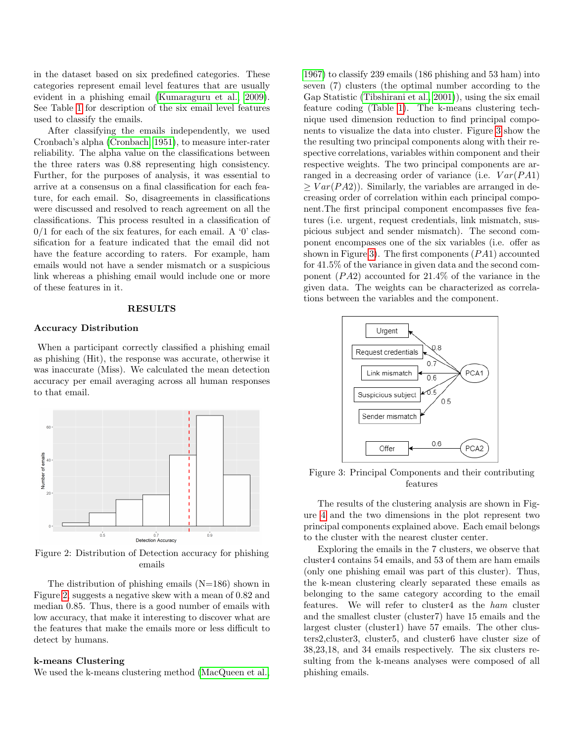in the dataset based on six predefined categories. These categories represent email level features that are usually evident in a phishing email [\(Kumaraguru et al., 2009\)](#page-4-14). See Table [1](#page-1-1) for description of the six email level features used to classify the emails.

After classifying the emails independently, we used Cronbach's alpha [\(Cronbach, 1951\)](#page-4-15), to measure inter-rater reliability. The alpha value on the classifications between the three raters was 0.88 representing high consistency. Further, for the purposes of analysis, it was essential to arrive at a consensus on a final classification for each feature, for each email. So, disagreements in classifications were discussed and resolved to reach agreement on all the classifications. This process resulted in a classification of  $0/1$  for each of the six features, for each email. A '0' classification for a feature indicated that the email did not have the feature according to raters. For example, ham emails would not have a sender mismatch or a suspicious link whereas a phishing email would include one or more of these features in it.

# RESULTS

#### Accuracy Distribution

When a participant correctly classified a phishing email as phishing (Hit), the response was accurate, otherwise it was inaccurate (Miss). We calculated the mean detection accuracy per email averaging across all human responses to that email.

<span id="page-2-0"></span>

Figure 2: Distribution of Detection accuracy for phishing emails

The distribution of phishing emails  $(N=186)$  shown in Figure [2,](#page-2-0) suggests a negative skew with a mean of 0.82 and median 0.85. Thus, there is a good number of emails with low accuracy, that make it interesting to discover what are the features that make the emails more or less difficult to detect by humans.

# k-means Clustering

We used the k-means clustering method [\(MacQueen et al.,](#page-4-16)

[1967\)](#page-4-16) to classify 239 emails (186 phishing and 53 ham) into seven (7) clusters (the optimal number according to the Gap Statistic [\(Tibshirani et al., 2001\)](#page-4-17)), using the six email feature coding (Table [1\)](#page-1-1). The k-means clustering technique used dimension reduction to find principal components to visualize the data into cluster. Figure [3](#page-2-1) show the the resulting two principal components along with their respective correlations, variables within component and their respective weights. The two principal components are arranged in a decreasing order of variance (i.e.  $Var(PA1)$ )  $> Var(PA2)$ . Similarly, the variables are arranged in decreasing order of correlation within each principal component.The first principal component encompasses five features (i.e. urgent, request credentials, link mismatch, suspicious subject and sender mismatch). The second component encompasses one of the six variables (i.e. offer as shown in Figure [3\)](#page-2-1). The first components  $(PA1)$  accounted for 41.5% of the variance in given data and the second component  $(PA2)$  accounted for 21.4% of the variance in the given data. The weights can be characterized as correlations between the variables and the component.

<span id="page-2-1"></span>

Figure 3: Principal Components and their contributing features

The results of the clustering analysis are shown in Figure [4](#page-3-0) and the two dimensions in the plot represent two principal components explained above. Each email belongs to the cluster with the nearest cluster center.

Exploring the emails in the 7 clusters, we observe that cluster4 contains 54 emails, and 53 of them are ham emails (only one phishing email was part of this cluster). Thus, the k-mean clustering clearly separated these emails as belonging to the same category according to the email features. We will refer to cluster4 as the ham cluster and the smallest cluster (cluster7) have 15 emails and the largest cluster (cluster1) have 57 emails. The other clusters2,cluster3, cluster5, and cluster6 have cluster size of 38,23,18, and 34 emails respectively. The six clusters resulting from the k-means analyses were composed of all phishing emails.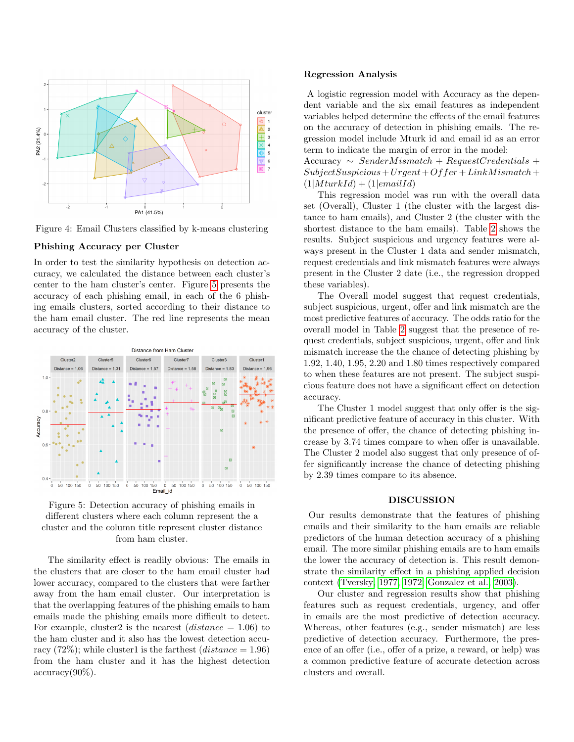<span id="page-3-0"></span>

Figure 4: Email Clusters classified by k-means clustering

## Phishing Accuracy per Cluster

In order to test the similarity hypothesis on detection accuracy, we calculated the distance between each cluster's center to the ham cluster's center. Figure [5](#page-3-1) presents the accuracy of each phishing email, in each of the 6 phishing emails clusters, sorted according to their distance to the ham email cluster. The red line represents the mean accuracy of the cluster.

<span id="page-3-1"></span>



The similarity effect is readily obvious: The emails in the clusters that are closer to the ham email cluster had lower accuracy, compared to the clusters that were farther away from the ham email cluster. Our interpretation is that the overlapping features of the phishing emails to ham emails made the phishing emails more difficult to detect. For example, cluster2 is the nearest  $(distance = 1.06)$  to the ham cluster and it also has the lowest detection accuracy (72%); while cluster1 is the farthest (*distance* = 1.96) from the ham cluster and it has the highest detection  $\mathrm{accuracy}(90\%).$ 

# Regression Analysis

A logistic regression model with Accuracy as the dependent variable and the six email features as independent variables helped determine the effects of the email features on the accuracy of detection in phishing emails. The regression model include Mturk id and email id as an error term to indicate the margin of error in the model:

 $Accuracy \sim SenderM is match + RequestC redentials +$  $Subject Suspicious+Urgent+Offer+LinkM ismatch+$  $(1|M turkId) + (1| emailId)$ 

This regression model was run with the overall data set (Overall), Cluster 1 (the cluster with the largest distance to ham emails), and Cluster 2 (the cluster with the shortest distance to the ham emails). Table [2](#page-4-18) shows the results. Subject suspicious and urgency features were always present in the Cluster 1 data and sender mismatch, request credentials and link mismatch features were always present in the Cluster 2 date (i.e., the regression dropped these variables).

The Overall model suggest that request credentials, subject suspicious, urgent, offer and link mismatch are the most predictive features of accuracy. The odds ratio for the overall model in Table [2](#page-4-18) suggest that the presence of request credentials, subject suspicious, urgent, offer and link mismatch increase the the chance of detecting phishing by 1.92, 1.40, 1.95, 2.20 and 1.80 times respectively compared to when these features are not present. The subject suspicious feature does not have a significant effect on detection accuracy.

The Cluster 1 model suggest that only offer is the significant predictive feature of accuracy in this cluster. With the presence of offer, the chance of detecting phishing increase by 3.74 times compare to when offer is unavailable. The Cluster 2 model also suggest that only presence of offer significantly increase the chance of detecting phishing by 2.39 times compare to its absence.

# DISCUSSION

Our results demonstrate that the features of phishing emails and their similarity to the ham emails are reliable predictors of the human detection accuracy of a phishing email. The more similar phishing emails are to ham emails the lower the accuracy of detection is. This result demonstrate the similarity effect in a phishing applied decision context [\(Tversky, 1977,](#page-4-7) [1972;](#page-4-6) [Gonzalez et al., 2003\)](#page-4-4).

Our cluster and regression results show that phishing features such as request credentials, urgency, and offer in emails are the most predictive of detection accuracy. Whereas, other features (e.g., sender mismatch) are less predictive of detection accuracy. Furthermore, the presence of an offer (i.e., offer of a prize, a reward, or help) was a common predictive feature of accurate detection across clusters and overall.